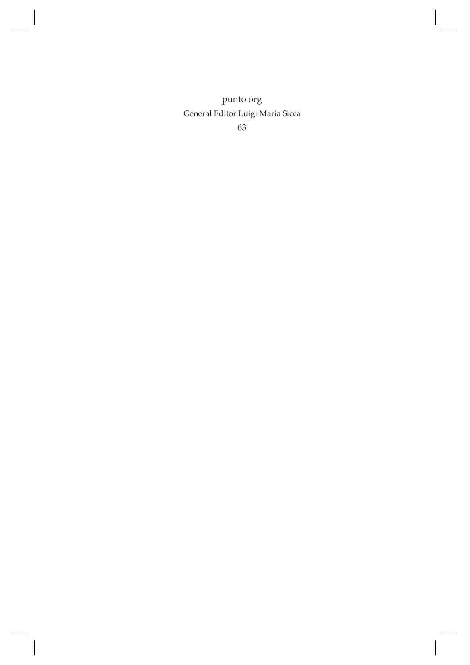punto org General Editor Luigi Maria Sicca 63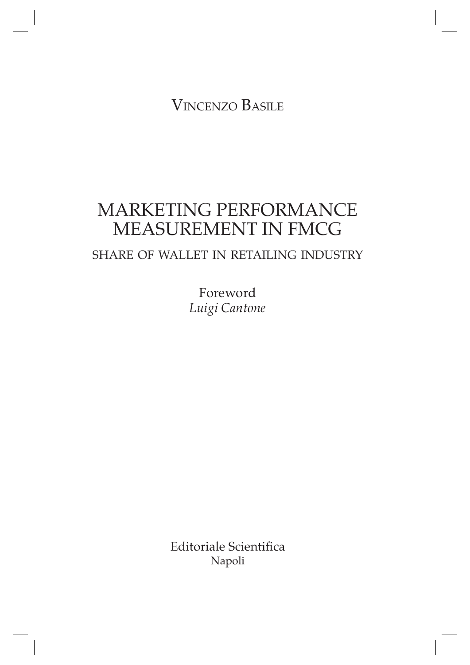Vincenzo Basile

# MARKETING PERFORMANCE MEASUREMENT IN FMCG

## share of wallet in retailing industry

Foreword *Luigi Cantone*

Editoriale Scientifica Napoli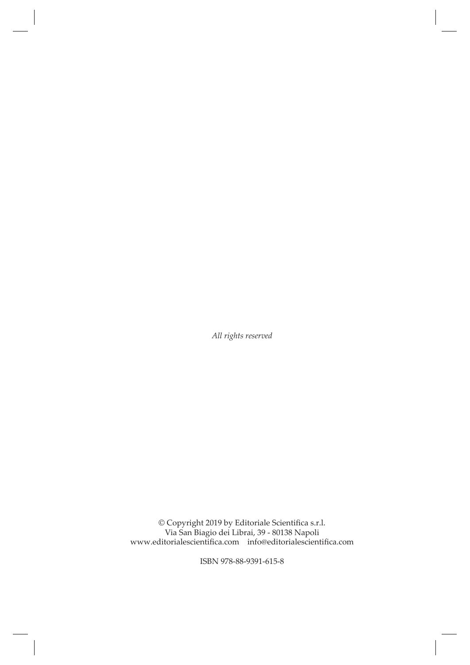*All rights reserved*

© Copyright 2019 by Editoriale Scientifica s.r.l. Via San Biagio dei Librai, 39 - 80138 Napoli www.editorialescientifica.com info@editorialescientifica.com

ISBN 978-88-9391-615-8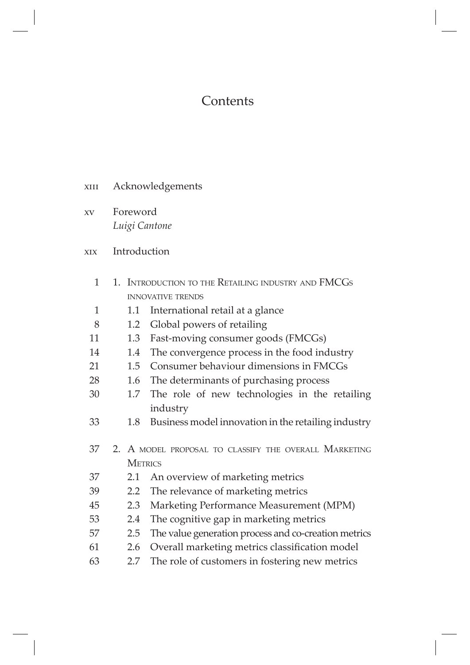# **Contents**

- xIII Acknowledgements
- xv Foreword *Luigi Cantone*

### xix Introduction

| 1            | 1. INTRODUCTION TO THE RETAILING INDUSTRY AND FMCGS |                                                       |  |  |  |
|--------------|-----------------------------------------------------|-------------------------------------------------------|--|--|--|
|              |                                                     | <b>INNOVATIVE TRENDS</b>                              |  |  |  |
| $\mathbf{1}$ | 1.1                                                 | International retail at a glance                      |  |  |  |
| 8            | 1.2                                                 | Global powers of retailing                            |  |  |  |
| 11           | 1.3                                                 | Fast-moving consumer goods (FMCGs)                    |  |  |  |
| 14           | 1.4                                                 | The convergence process in the food industry          |  |  |  |
| 21           | 1.5                                                 | Consumer behaviour dimensions in FMCGs                |  |  |  |
| 28           | 1.6                                                 | The determinants of purchasing process                |  |  |  |
| 30           | 1.7                                                 | The role of new technologies in the retailing         |  |  |  |
|              |                                                     | industry                                              |  |  |  |
| 33           | 1.8                                                 | Business model innovation in the retailing industry   |  |  |  |
|              |                                                     |                                                       |  |  |  |
| 37           |                                                     | 2. A MODEL PROPOSAL TO CLASSIFY THE OVERALL MARKETING |  |  |  |
|              | <b>METRICS</b>                                      |                                                       |  |  |  |
| 37           | 2.1                                                 | An overview of marketing metrics                      |  |  |  |
| 39           | $2.2^{\circ}$                                       | The relevance of marketing metrics                    |  |  |  |
| 45           | 2.3                                                 | Marketing Performance Measurement (MPM)               |  |  |  |
| 53           | 2.4                                                 | The cognitive gap in marketing metrics                |  |  |  |
| 57           | 2.5                                                 | The value generation process and co-creation metrics  |  |  |  |
| 61           | 2.6                                                 | Overall marketing metrics classification model        |  |  |  |
| 63           | 2.7                                                 | The role of customers in fostering new metrics        |  |  |  |
|              |                                                     |                                                       |  |  |  |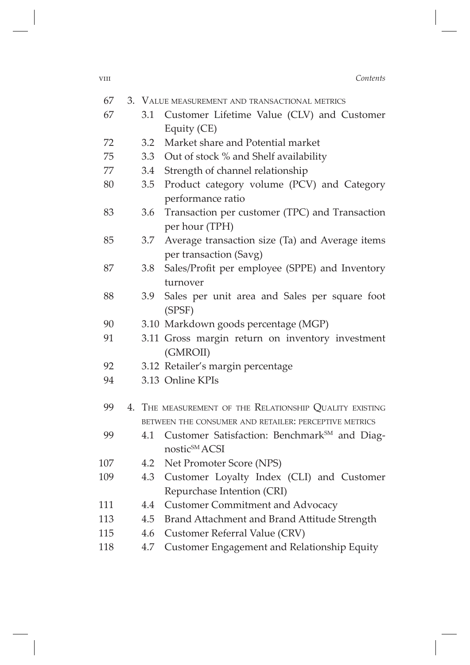| <b>VIII</b> | Contents |
|-------------|----------|
|             |          |

| 67  |     | 3. VALUE MEASUREMENT AND TRANSACTIONAL METRICS                                        |
|-----|-----|---------------------------------------------------------------------------------------|
| 67  | 3.1 | Customer Lifetime Value (CLV) and Customer                                            |
|     |     | Equity (CE)                                                                           |
| 72  | 3.2 | Market share and Potential market                                                     |
| 75  |     | 3.3 Out of stock % and Shelf availability                                             |
| 77  |     | 3.4 Strength of channel relationship                                                  |
| 80  | 3.5 | Product category volume (PCV) and Category<br>performance ratio                       |
| 83  | 3.6 | Transaction per customer (TPC) and Transaction<br>per hour (TPH)                      |
| 85  |     | 3.7 Average transaction size (Ta) and Average items<br>per transaction (Savg)         |
| 87  | 3.8 | Sales/Profit per employee (SPPE) and Inventory<br>turnover                            |
| 88  | 3.9 | Sales per unit area and Sales per square foot<br>(SPSF)                               |
| 90  |     | 3.10 Markdown goods percentage (MGP)                                                  |
| 91  |     | 3.11 Gross margin return on inventory investment<br>(GMROII)                          |
| 92  |     | 3.12 Retailer's margin percentage                                                     |
| 94  |     | 3.13 Online KPIs                                                                      |
| 99  |     | 4. THE MEASUREMENT OF THE RELATIONSHIP QUALITY EXISTING                               |
|     |     | BETWEEN THE CONSUMER AND RETAILER: PERCEPTIVE METRICS                                 |
| 99  | 4.1 | Customer Satisfaction: Benchmark <sup>SM</sup> and Diag-<br>nostic <sup>SM</sup> ACSI |
| 107 | 4.2 | Net Promoter Score (NPS)                                                              |
| 109 | 4.3 | Customer Loyalty Index (CLI) and Customer                                             |
|     |     | Repurchase Intention (CRI)                                                            |
| 111 | 4.4 | <b>Customer Commitment and Advocacy</b>                                               |
| 113 | 4.5 | Brand Attachment and Brand Attitude Strength                                          |
| 115 | 4.6 | Customer Referral Value (CRV)                                                         |
| 118 | 4.7 | Customer Engagement and Relationship Equity                                           |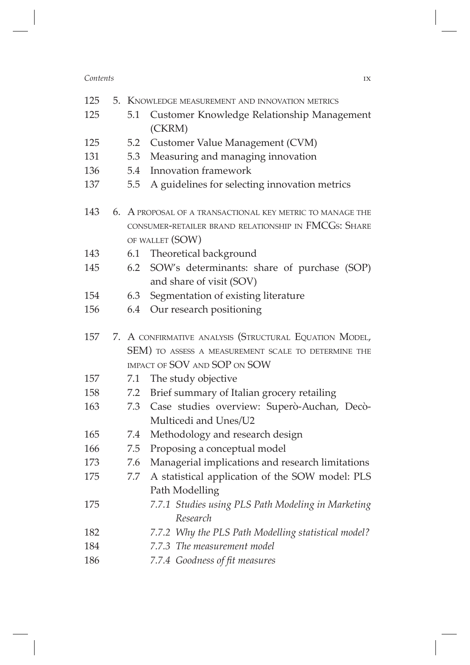#### *Contents* ix

| 125 | 5. KNOWLEDGE MEASUREMENT AND INNOVATION METRICS |                                                           |
|-----|-------------------------------------------------|-----------------------------------------------------------|
| 125 | 5.1                                             | Customer Knowledge Relationship Management                |
|     |                                                 | (CKRM)                                                    |
| 125 | 5.2                                             | Customer Value Management (CVM)                           |
| 131 | 5.3                                             | Measuring and managing innovation                         |
| 136 | 5.4                                             | <b>Innovation framework</b>                               |
| 137 | 5.5                                             | A guidelines for selecting innovation metrics             |
| 143 |                                                 | 6. A PROPOSAL OF A TRANSACTIONAL KEY METRIC TO MANAGE THE |
|     |                                                 | CONSUMER-RETAILER BRAND RELATIONSHIP IN FMCGS: SHARE      |
|     |                                                 | OF WALLET (SOW)                                           |
| 143 |                                                 | 6.1 Theoretical background                                |
| 145 |                                                 | 6.2 SOW's determinants: share of purchase (SOP)           |
|     |                                                 | and share of visit (SOV)                                  |
| 154 | 6.3                                             | Segmentation of existing literature                       |
| 156 | 6.4                                             | Our research positioning                                  |
| 157 |                                                 | 7. A CONFIRMATIVE ANALYSIS (STRUCTURAL EQUATION MODEL,    |
|     |                                                 | SEM) TO ASSESS A MEASUREMENT SCALE TO DETERMINE THE       |
|     |                                                 | IMPACT OF SOV AND SOP ON SOW                              |
| 157 | 7.1                                             | The study objective                                       |
| 158 |                                                 | 7.2 Brief summary of Italian grocery retailing            |
| 163 |                                                 | 7.3 Case studies overview: Superò-Auchan, Decò-           |
|     |                                                 | Multicedi and Unes/U2                                     |
| 165 | 7.4                                             | Methodology and research design                           |
| 166 | 7.5                                             | Proposing a conceptual model                              |
| 173 | 7.6                                             | Managerial implications and research limitations          |
| 175 | 7.7                                             | A statistical application of the SOW model: PLS           |
|     |                                                 | Path Modelling                                            |
| 175 |                                                 | 7.7.1 Studies using PLS Path Modeling in Marketing        |
|     |                                                 | Research                                                  |
| 182 |                                                 | 7.7.2 Why the PLS Path Modelling statistical model?       |
| 184 |                                                 | 7.7.3 The measurement model                               |
| 186 |                                                 | 7.7.4 Goodness of fit measures                            |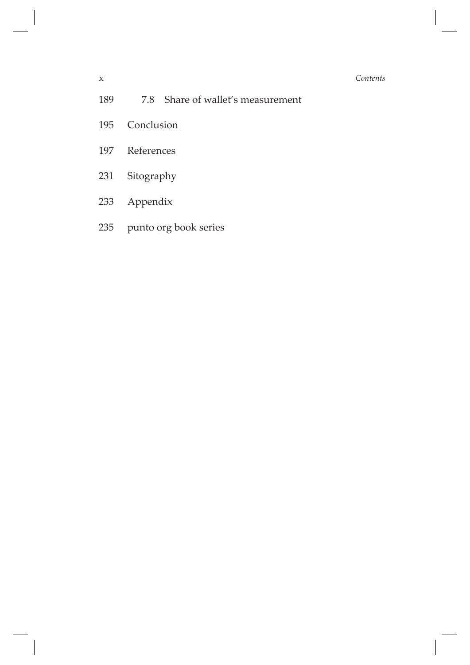#### x *Contents*

- 189 7.8 Share of wallet's measurement
- Conclusion
- References
- Sitography
- Appendix
- punto org book series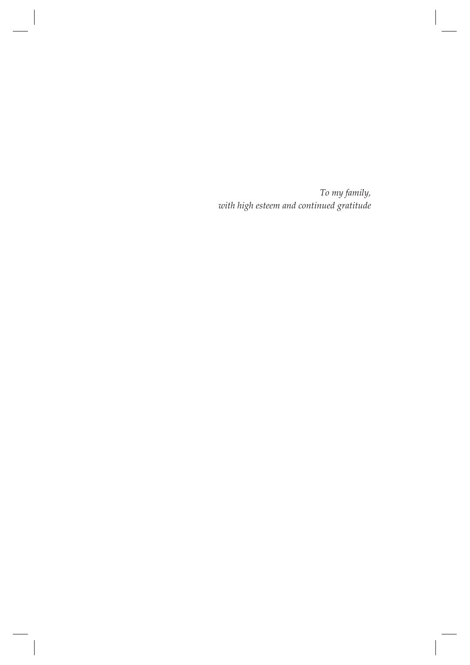To my family, with high esteem and continued gratitude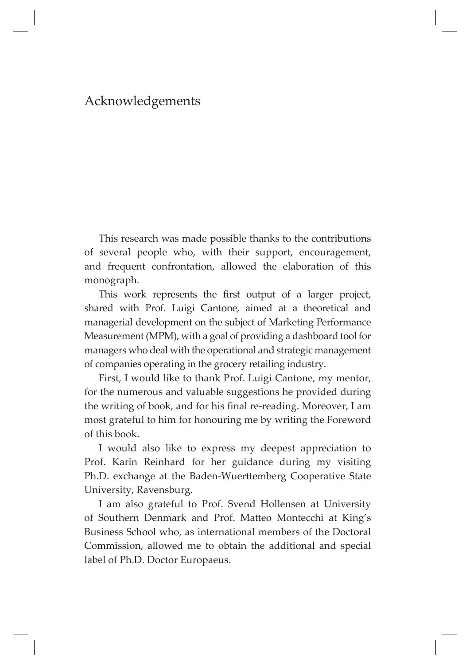### Acknowledgements

This research was made possible thanks to the contributions of several people who, with their support, encouragement, and frequent confrontation, allowed the elaboration of this monograph.

This work represents the first output of a larger project, shared with Prof. Luigi Cantone, aimed at a theoretical and managerial development on the subject of Marketing Performance Measurement (MPM), with a goal of providing a dashboard tool for managers who deal with the operational and strategic management of companies operating in the grocery retailing industry.

First, I would like to thank Prof. Luigi Cantone, my mentor, for the numerous and valuable suggestions he provided during the writing of book, and for his final re-reading. Moreover, I am most grateful to him for honouring me by writing the Foreword of this book.

I would also like to express my deepest appreciation to Prof. Karin Reinhard for her guidance during my visiting Ph.D. exchange at the Baden-Wuerttemberg Cooperative State University, Ravensburg.

I am also grateful to Prof. Svend Hollensen at University of Southern Denmark and Prof. Matteo Montecchi at King's Business School who, as international members of the Doctoral Commission, allowed me to obtain the additional and special label of Ph.D. Doctor Europaeus.